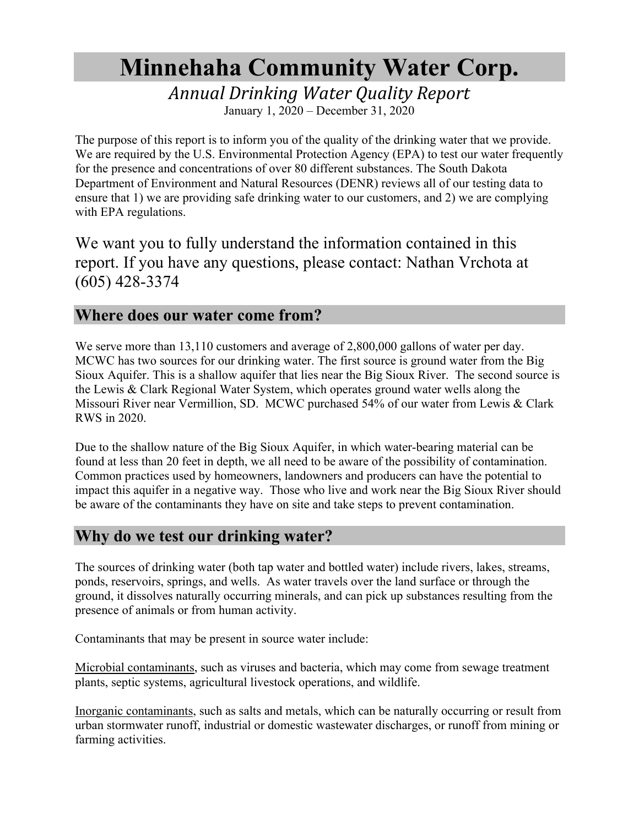# **Minnehaha Community Water Corp.**

*Annual Drinking Water Quality Report*

January 1, 2020 – December 31, 2020

The purpose of this report is to inform you of the quality of the drinking water that we provide. We are required by the U.S. Environmental Protection Agency (EPA) to test our water frequently for the presence and concentrations of over 80 different substances. The South Dakota Department of Environment and Natural Resources (DENR) reviews all of our testing data to ensure that 1) we are providing safe drinking water to our customers, and 2) we are complying with EPA regulations.

We want you to fully understand the information contained in this report. If you have any questions, please contact: Nathan Vrchota at (605) 428-3374

#### **Where does our water come from?**

We serve more than 13,110 customers and average of 2,800,000 gallons of water per day. MCWC has two sources for our drinking water. The first source is ground water from the Big Sioux Aquifer. This is a shallow aquifer that lies near the Big Sioux River. The second source is the Lewis & Clark Regional Water System, which operates ground water wells along the Missouri River near Vermillion, SD. MCWC purchased 54% of our water from Lewis & Clark RWS in 2020.

Due to the shallow nature of the Big Sioux Aquifer, in which water-bearing material can be found at less than 20 feet in depth, we all need to be aware of the possibility of contamination. Common practices used by homeowners, landowners and producers can have the potential to impact this aquifer in a negative way. Those who live and work near the Big Sioux River should be aware of the contaminants they have on site and take steps to prevent contamination.

### **Why do we test our drinking water?**

The sources of drinking water (both tap water and bottled water) include rivers, lakes, streams, ponds, reservoirs, springs, and wells. As water travels over the land surface or through the ground, it dissolves naturally occurring minerals, and can pick up substances resulting from the presence of animals or from human activity.

Contaminants that may be present in source water include:

Microbial contaminants, such as viruses and bacteria, which may come from sewage treatment plants, septic systems, agricultural livestock operations, and wildlife.

Inorganic contaminants, such as salts and metals, which can be naturally occurring or result from urban stormwater runoff, industrial or domestic wastewater discharges, or runoff from mining or farming activities.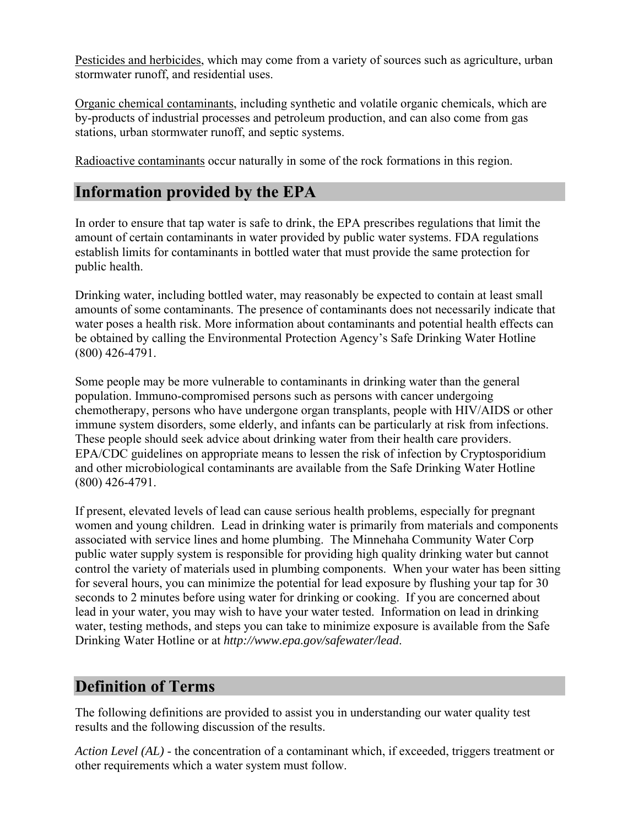Pesticides and herbicides, which may come from a variety of sources such as agriculture, urban stormwater runoff, and residential uses.

Organic chemical contaminants, including synthetic and volatile organic chemicals, which are by-products of industrial processes and petroleum production, and can also come from gas stations, urban stormwater runoff, and septic systems.

Radioactive contaminants occur naturally in some of the rock formations in this region.

## **Information provided by the EPA**

In order to ensure that tap water is safe to drink, the EPA prescribes regulations that limit the amount of certain contaminants in water provided by public water systems. FDA regulations establish limits for contaminants in bottled water that must provide the same protection for public health.

Drinking water, including bottled water, may reasonably be expected to contain at least small amounts of some contaminants. The presence of contaminants does not necessarily indicate that water poses a health risk. More information about contaminants and potential health effects can be obtained by calling the Environmental Protection Agency's Safe Drinking Water Hotline (800) 426-4791.

Some people may be more vulnerable to contaminants in drinking water than the general population. Immuno-compromised persons such as persons with cancer undergoing chemotherapy, persons who have undergone organ transplants, people with HIV/AIDS or other immune system disorders, some elderly, and infants can be particularly at risk from infections. These people should seek advice about drinking water from their health care providers. EPA/CDC guidelines on appropriate means to lessen the risk of infection by Cryptosporidium and other microbiological contaminants are available from the Safe Drinking Water Hotline (800) 426-4791.

If present, elevated levels of lead can cause serious health problems, especially for pregnant women and young children. Lead in drinking water is primarily from materials and components associated with service lines and home plumbing. The Minnehaha Community Water Corp public water supply system is responsible for providing high quality drinking water but cannot control the variety of materials used in plumbing components. When your water has been sitting for several hours, you can minimize the potential for lead exposure by flushing your tap for 30 seconds to 2 minutes before using water for drinking or cooking. If you are concerned about lead in your water, you may wish to have your water tested. Information on lead in drinking water, testing methods, and steps you can take to minimize exposure is available from the Safe Drinking Water Hotline or at *http://www.epa.gov/safewater/lead*.

## **Definition of Terms**

The following definitions are provided to assist you in understanding our water quality test results and the following discussion of the results.

*Action Level (AL)* - the concentration of a contaminant which, if exceeded, triggers treatment or other requirements which a water system must follow.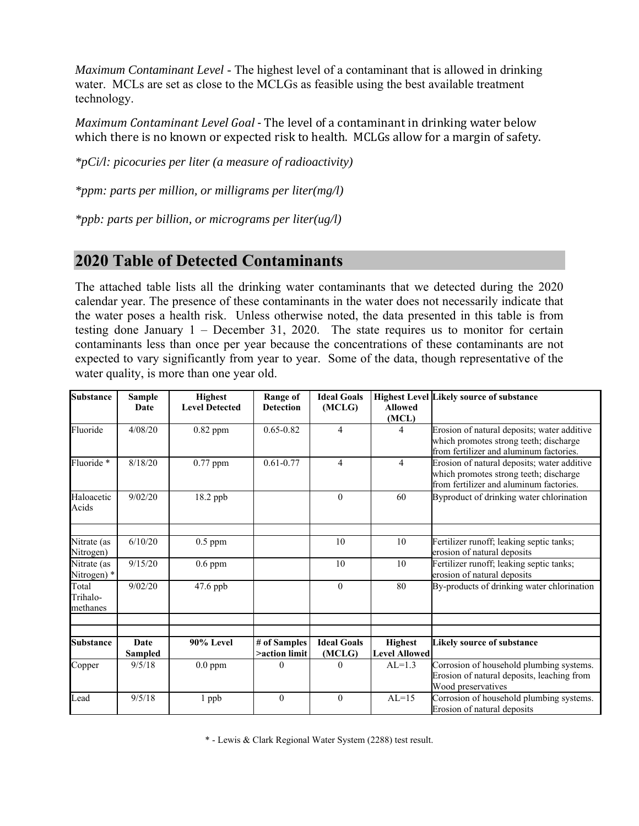*Maximum Contaminant Level* - The highest level of a contaminant that is allowed in drinking water. MCLs are set as close to the MCLGs as feasible using the best available treatment technology.

*Maximum Contaminant Level Goal* - The level of a contaminant in drinking water below which there is no known or expected risk to health. MCLGs allow for a margin of safety.

*\*pCi/l: picocuries per liter (a measure of radioactivity)* 

*\*ppm: parts per million, or milligrams per liter(mg/l)* 

*\*ppb: parts per billion, or micrograms per liter(ug/l)* 

### **2020 Table of Detected Contaminants**

The attached table lists all the drinking water contaminants that we detected during the 2020 calendar year. The presence of these contaminants in the water does not necessarily indicate that the water poses a health risk. Unless otherwise noted, the data presented in this table is from testing done January 1 – December 31, 2020. The state requires us to monitor for certain contaminants less than once per year because the concentrations of these contaminants are not expected to vary significantly from year to year. Some of the data, though representative of the water quality, is more than one year old.

| <b>Substance</b>              | <b>Sample</b><br>Date | <b>Highest</b><br><b>Level Detected</b> | <b>Range of</b><br><b>Detection</b> | <b>Ideal Goals</b><br>(MCLG) | <b>Allowed</b><br>(MCL)                | <b>Highest Level Likely source of substance</b>                                                                                  |
|-------------------------------|-----------------------|-----------------------------------------|-------------------------------------|------------------------------|----------------------------------------|----------------------------------------------------------------------------------------------------------------------------------|
| Fluoride                      | 4/08/20               | $0.82$ ppm                              | $0.65 - 0.82$                       | 4                            | 4                                      | Erosion of natural deposits; water additive<br>which promotes strong teeth; discharge<br>from fertilizer and aluminum factories. |
| Fluoride *                    | 8/18/20               | $0.77$ ppm                              | $0.61 - 0.77$                       | $\overline{4}$               | $\overline{4}$                         | Erosion of natural deposits; water additive<br>which promotes strong teeth; discharge<br>from fertilizer and aluminum factories. |
| Haloacetic<br>Acids           | 9/02/20               | 18.2 ppb                                |                                     | $\theta$                     | 60                                     | Byproduct of drinking water chlorination                                                                                         |
| Nitrate (as<br>Nitrogen)      | 6/10/20               | $0.5$ ppm                               |                                     | 10                           | 10                                     | Fertilizer runoff; leaking septic tanks;<br>erosion of natural deposits                                                          |
| Nitrate (as<br>Nitrogen) *    | 9/15/20               | $0.6$ ppm                               |                                     | 10                           | 10                                     | Fertilizer runoff; leaking septic tanks;<br>erosion of natural deposits                                                          |
| Total<br>Trihalo-<br>methanes | 9/02/20               | $47.6$ ppb                              |                                     | $\mathbf{0}$                 | 80                                     | By-products of drinking water chlorination                                                                                       |
|                               |                       |                                         |                                     |                              |                                        |                                                                                                                                  |
| <b>Substance</b>              | Date<br>Sampled       | 90% Level                               | # of Samples<br>>action limit       | <b>Ideal Goals</b><br>(MCLG) | <b>Highest</b><br><b>Level Allowed</b> | <b>Likely source of substance</b>                                                                                                |
| Copper                        | 9/5/18                | $0.0$ ppm                               | $\Omega$                            | $\Omega$                     | $AL=1.3$                               | Corrosion of household plumbing systems.<br>Erosion of natural deposits, leaching from<br>Wood preservatives                     |
| Lead                          | 9/5/18                | 1 ppb                                   | $\mathbf{0}$                        | $\theta$                     | $AL=15$                                | Corrosion of household plumbing systems.<br>Erosion of natural deposits                                                          |

\* - Lewis & Clark Regional Water System (2288) test result.